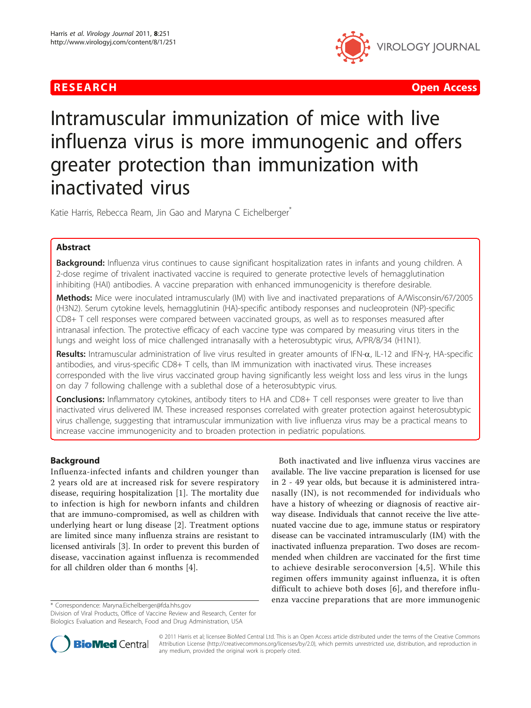

R E S EARCH Open Access

# Intramuscular immunization of mice with live influenza virus is more immunogenic and offers greater protection than immunization with inactivated virus

Katie Harris, Rebecca Ream, Jin Gao and Maryna C Eichelberger<sup>\*</sup>

# Abstract

Background: Influenza virus continues to cause significant hospitalization rates in infants and young children. A 2-dose regime of trivalent inactivated vaccine is required to generate protective levels of hemagglutination inhibiting (HAI) antibodies. A vaccine preparation with enhanced immunogenicity is therefore desirable.

Methods: Mice were inoculated intramuscularly (IM) with live and inactivated preparations of A/Wisconsin/67/2005 (H3N2). Serum cytokine levels, hemagglutinin (HA)-specific antibody responses and nucleoprotein (NP)-specific CD8+ T cell responses were compared between vaccinated groups, as well as to responses measured after intranasal infection. The protective efficacy of each vaccine type was compared by measuring virus titers in the lungs and weight loss of mice challenged intranasally with a heterosubtypic virus, A/PR/8/34 (H1N1).

Results: Intramuscular administration of live virus resulted in greater amounts of IFN- $\alpha$ , IL-12 and IFN- $\gamma$ , HA-specific antibodies, and virus-specific CD8+ T cells, than IM immunization with inactivated virus. These increases corresponded with the live virus vaccinated group having significantly less weight loss and less virus in the lungs on day 7 following challenge with a sublethal dose of a heterosubtypic virus.

**Conclusions:** Inflammatory cytokines, antibody titers to HA and CD8+ T cell responses were greater to live than inactivated virus delivered IM. These increased responses correlated with greater protection against heterosubtypic virus challenge, suggesting that intramuscular immunization with live influenza virus may be a practical means to increase vaccine immunogenicity and to broaden protection in pediatric populations.

# Background

Influenza-infected infants and children younger than 2 years old are at increased risk for severe respiratory disease, requiring hospitalization [\[1](#page-10-0)]. The mortality due to infection is high for newborn infants and children that are immuno-compromised, as well as children with underlying heart or lung disease [[2\]](#page-10-0). Treatment options are limited since many influenza strains are resistant to licensed antivirals [[3\]](#page-10-0). In order to prevent this burden of disease, vaccination against influenza is recommended for all children older than 6 months [[4\]](#page-10-0).

Both inactivated and live influenza virus vaccines are available. The live vaccine preparation is licensed for use in 2 - 49 year olds, but because it is administered intranasally (IN), is not recommended for individuals who have a history of wheezing or diagnosis of reactive airway disease. Individuals that cannot receive the live attenuated vaccine due to age, immune status or respiratory disease can be vaccinated intramuscularly (IM) with the inactivated influenza preparation. Two doses are recommended when children are vaccinated for the first time to achieve desirable seroconversion [[4](#page-10-0),[5\]](#page-10-0). While this regimen offers immunity against influenza, it is often difficult to achieve both doses [\[6](#page-10-0)], and therefore influenza vaccine preparations that are more immunogenic \* Correspondence: [Maryna.Eichelberger@fda.hhs.gov](mailto:Maryna.Eichelberger@fda.hhs.gov)



© 2011 Harris et al; licensee BioMed Central Ltd. This is an Open Access article distributed under the terms of the Creative Commons Attribution License [\(http://creativecommons.org/licenses/by/2.0](http://creativecommons.org/licenses/by/2.0)), which permits unrestricted use, distribution, and reproduction in any medium, provided the original work is properly cited.

Division of Viral Products, Office of Vaccine Review and Research, Center for Biologics Evaluation and Research, Food and Drug Administration, USA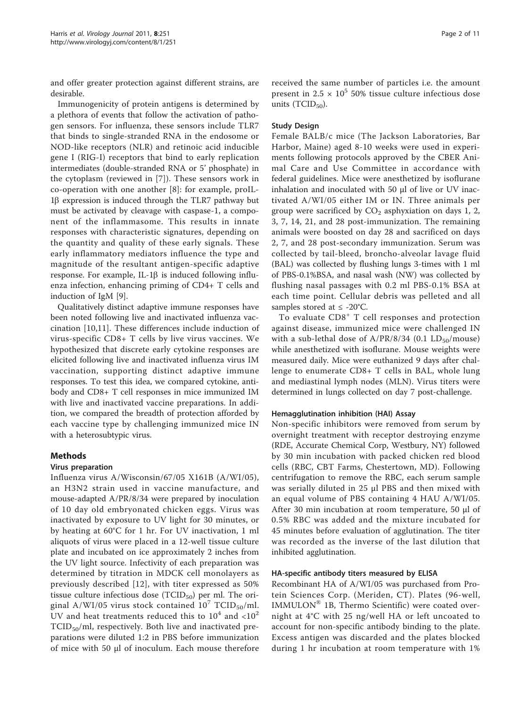and offer greater protection against different strains, are desirable.

Immunogenicity of protein antigens is determined by a plethora of events that follow the activation of pathogen sensors. For influenza, these sensors include TLR7 that binds to single-stranded RNA in the endosome or NOD-like receptors (NLR) and retinoic acid inducible gene I (RIG-I) receptors that bind to early replication intermediates (double-stranded RNA or 5' phosphate) in the cytoplasm (reviewed in [[7\]](#page-10-0)). These sensors work in co-operation with one another [\[8\]](#page-10-0): for example, proIL- $1\beta$  expression is induced through the TLR7 pathway but must be activated by cleavage with caspase-1, a component of the inflammasome. This results in innate responses with characteristic signatures, depending on the quantity and quality of these early signals. These early inflammatory mediators influence the type and magnitude of the resultant antigen-specific adaptive response. For example, IL-1 $\beta$  is induced following influenza infection, enhancing priming of CD4+ T cells and induction of IgM [\[9](#page-10-0)].

Qualitatively distinct adaptive immune responses have been noted following live and inactivated influenza vaccination [\[10,11](#page-10-0)]. These differences include induction of virus-specific CD8+ T cells by live virus vaccines. We hypothesized that discrete early cytokine responses are elicited following live and inactivated influenza virus IM vaccination, supporting distinct adaptive immune responses. To test this idea, we compared cytokine, antibody and CD8+ T cell responses in mice immunized IM with live and inactivated vaccine preparations. In addition, we compared the breadth of protection afforded by each vaccine type by challenging immunized mice IN with a heterosubtypic virus.

#### Methods

#### Virus preparation

Influenza virus A/Wisconsin/67/05 X161B (A/WI/05), an H3N2 strain used in vaccine manufacture, and mouse-adapted A/PR/8/34 were prepared by inoculation of 10 day old embryonated chicken eggs. Virus was inactivated by exposure to UV light for 30 minutes, or by heating at 60°C for 1 hr. For UV inactivation, 1 ml aliquots of virus were placed in a 12-well tissue culture plate and incubated on ice approximately 2 inches from the UV light source. Infectivity of each preparation was determined by titration in MDCK cell monolayers as previously described [[12](#page-10-0)], with titer expressed as 50% tissue culture infectious dose  $(TCID_{50})$  per ml. The original A/WI/05 virus stock contained  $10^7$  TCID<sub>50</sub>/ml. UV and heat treatments reduced this to  $10^4$  and  $\langle 10^2$  $TCID_{50}/ml$ , respectively. Both live and inactivated preparations were diluted 1:2 in PBS before immunization of mice with 50 μl of inoculum. Each mouse therefore

received the same number of particles i.e. the amount present in  $2.5 \times 10^5$  50% tissue culture infectious dose units  $(TCID<sub>50</sub>)$ .

#### Study Design

Female BALB/c mice (The Jackson Laboratories, Bar Harbor, Maine) aged 8-10 weeks were used in experiments following protocols approved by the CBER Animal Care and Use Committee in accordance with federal guidelines. Mice were anesthetized by isoflurane inhalation and inoculated with 50 μl of live or UV inactivated A/WI/05 either IM or IN. Three animals per group were sacrificed by  $CO<sub>2</sub>$  asphyxiation on days 1, 2, 3, 7, 14, 21, and 28 post-immunization. The remaining animals were boosted on day 28 and sacrificed on days 2, 7, and 28 post-secondary immunization. Serum was collected by tail-bleed, broncho-alveolar lavage fluid (BAL) was collected by flushing lungs 3-times with 1 ml of PBS-0.1%BSA, and nasal wash (NW) was collected by flushing nasal passages with 0.2 ml PBS-0.1% BSA at each time point. Cellular debris was pelleted and all samples stored at  $\leq$  -20°C.

To evaluate CD8<sup>+</sup> T cell responses and protection against disease, immunized mice were challenged IN with a sub-lethal dose of  $A/PR/8/34$  (0.1 LD<sub>50</sub>/mouse) while anesthetized with isoflurane. Mouse weights were measured daily. Mice were euthanized 9 days after challenge to enumerate CD8+ T cells in BAL, whole lung and mediastinal lymph nodes (MLN). Virus titers were determined in lungs collected on day 7 post-challenge.

#### Hemagglutination inhibition (HAI) Assay

Non-specific inhibitors were removed from serum by overnight treatment with receptor destroying enzyme (RDE, Accurate Chemical Corp, Westbury, NY) followed by 30 min incubation with packed chicken red blood cells (RBC, CBT Farms, Chestertown, MD). Following centrifugation to remove the RBC, each serum sample was serially diluted in 25 μl PBS and then mixed with an equal volume of PBS containing 4 HAU A/WI/05. After 30 min incubation at room temperature, 50 μl of 0.5% RBC was added and the mixture incubated for 45 minutes before evaluation of agglutination. The titer was recorded as the inverse of the last dilution that inhibited agglutination.

#### HA-specific antibody titers measured by ELISA

Recombinant HA of A/WI/05 was purchased from Protein Sciences Corp. (Meriden, CT). Plates (96-well, IMMULON® 1B, Thermo Scientific) were coated overnight at 4°C with 25 ng/well HA or left uncoated to account for non-specific antibody binding to the plate. Excess antigen was discarded and the plates blocked during 1 hr incubation at room temperature with 1%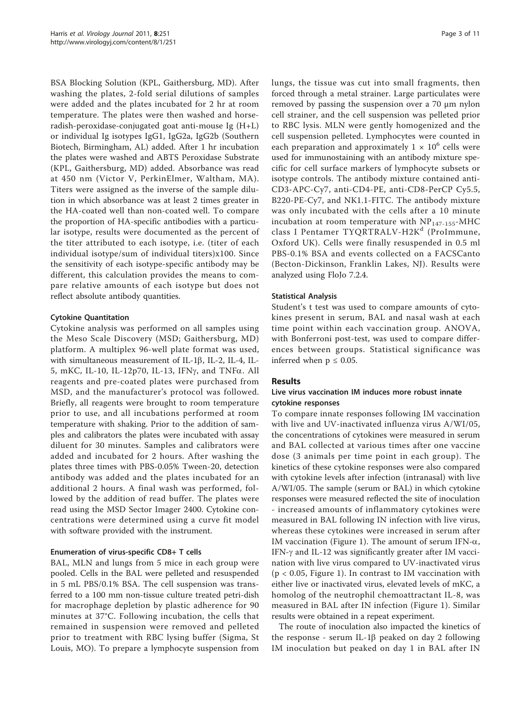BSA Blocking Solution (KPL, Gaithersburg, MD). After washing the plates, 2-fold serial dilutions of samples were added and the plates incubated for 2 hr at room temperature. The plates were then washed and horseradish-peroxidase-conjugated goat anti-mouse Ig (H+L) or individual Ig isotypes IgG1, IgG2a, IgG2b (Southern Biotech, Birmingham, AL) added. After 1 hr incubation the plates were washed and ABTS Peroxidase Substrate (KPL, Gaithersburg, MD) added. Absorbance was read at 450 nm (Victor V, PerkinElmer, Waltham, MA). Titers were assigned as the inverse of the sample dilution in which absorbance was at least 2 times greater in the HA-coated well than non-coated well. To compare the proportion of HA-specific antibodies with a particular isotype, results were documented as the percent of the titer attributed to each isotype, i.e. (titer of each individual isotype/sum of individual titers)x100. Since the sensitivity of each isotype-specific antibody may be different, this calculation provides the means to compare relative amounts of each isotype but does not reflect absolute antibody quantities.

# Cytokine Quantitation

Cytokine analysis was performed on all samples using the Meso Scale Discovery (MSD; Gaithersburg, MD) platform. A multiplex 96-well plate format was used, with simultaneous measurement of IL-1 $\beta$ , IL-2, IL-4, IL-5, mKC, IL-10, IL-12p70, IL-13, IFNg, and TNFa. All reagents and pre-coated plates were purchased from MSD, and the manufacturer's protocol was followed. Briefly, all reagents were brought to room temperature prior to use, and all incubations performed at room temperature with shaking. Prior to the addition of samples and calibrators the plates were incubated with assay diluent for 30 minutes. Samples and calibrators were added and incubated for 2 hours. After washing the plates three times with PBS-0.05% Tween-20, detection antibody was added and the plates incubated for an additional 2 hours. A final wash was performed, followed by the addition of read buffer. The plates were read using the MSD Sector Imager 2400. Cytokine concentrations were determined using a curve fit model with software provided with the instrument.

# Enumeration of virus-specific CD8+ T cells

BAL, MLN and lungs from 5 mice in each group were pooled. Cells in the BAL were pelleted and resuspended in 5 mL PBS/0.1% BSA. The cell suspension was transferred to a 100 mm non-tissue culture treated petri-dish for macrophage depletion by plastic adherence for 90 minutes at 37°C. Following incubation, the cells that remained in suspension were removed and pelleted prior to treatment with RBC lysing buffer (Sigma, St Louis, MO). To prepare a lymphocyte suspension from lungs, the tissue was cut into small fragments, then forced through a metal strainer. Large particulates were removed by passing the suspension over a 70 μm nylon cell strainer, and the cell suspension was pelleted prior to RBC lysis. MLN were gently homogenized and the cell suspension pelleted. Lymphocytes were counted in each preparation and approximately  $1 \times 10^6$  cells were used for immunostaining with an antibody mixture specific for cell surface markers of lymphocyte subsets or isotype controls. The antibody mixture contained anti-CD3-APC-Cy7, anti-CD4-PE, anti-CD8-PerCP Cy5.5, B220-PE-Cy7, and NK1.1-FITC. The antibody mixture was only incubated with the cells after a 10 minute incubation at room temperature with  $NP<sub>147-155</sub>$ -MHC class I Pentamer TYQRTRALV-H2K<sup>d</sup> (ProImmune, Oxford UK). Cells were finally resuspended in 0.5 ml PBS-0.1% BSA and events collected on a FACSCanto (Becton-Dickinson, Franklin Lakes, NJ). Results were analyzed using FloJo 7.2.4.

# Statistical Analysis

Student's t test was used to compare amounts of cytokines present in serum, BAL and nasal wash at each time point within each vaccination group. ANOVA, with Bonferroni post-test, was used to compare differences between groups. Statistical significance was inferred when  $p \leq 0.05$ .

# Results

# Live virus vaccination IM induces more robust innate cytokine responses

To compare innate responses following IM vaccination with live and UV-inactivated influenza virus A/WI/05, the concentrations of cytokines were measured in serum and BAL collected at various times after one vaccine dose (3 animals per time point in each group). The kinetics of these cytokine responses were also compared with cytokine levels after infection (intranasal) with live A/WI/05. The sample (serum or BAL) in which cytokine responses were measured reflected the site of inoculation - increased amounts of inflammatory cytokines were measured in BAL following IN infection with live virus, whereas these cytokines were increased in serum after IM vaccination (Figure [1\)](#page-3-0). The amount of serum IFN- $\alpha$ , IFN- $\gamma$  and IL-12 was significantly greater after IM vaccination with live virus compared to UV-inactivated virus  $(p < 0.05$ , Figure [1\)](#page-3-0). In contrast to IM vaccination with either live or inactivated virus, elevated levels of mKC, a homolog of the neutrophil chemoattractant IL-8, was measured in BAL after IN infection (Figure [1](#page-3-0)). Similar results were obtained in a repeat experiment.

The route of inoculation also impacted the kinetics of the response - serum IL-1 $\beta$  peaked on day 2 following IM inoculation but peaked on day 1 in BAL after IN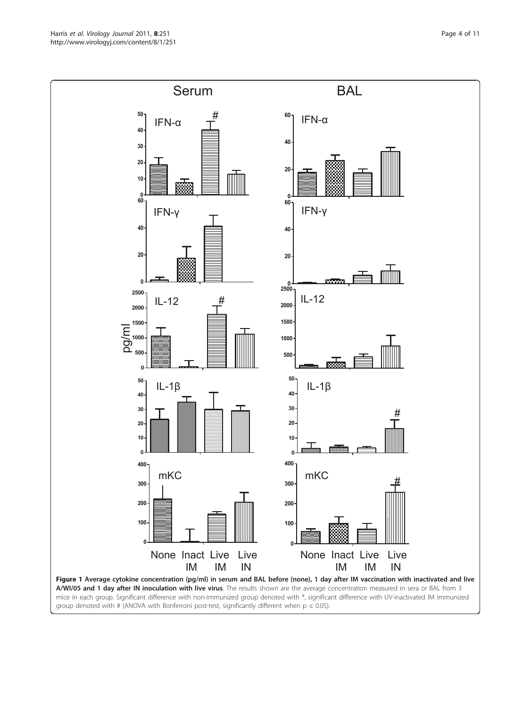<span id="page-3-0"></span>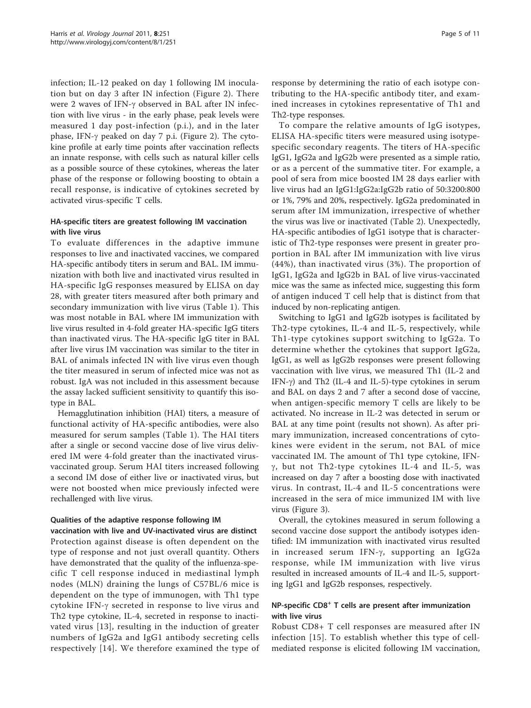infection; IL-12 peaked on day 1 following IM inoculation but on day 3 after IN infection (Figure [2\)](#page-5-0). There were 2 waves of IFN- $\gamma$  observed in BAL after IN infection with live virus - in the early phase, peak levels were measured 1 day post-infection (p.i.), and in the later phase, IFN- $\gamma$  peaked on day 7 p.i. (Figure [2](#page-5-0)). The cytokine profile at early time points after vaccination reflects an innate response, with cells such as natural killer cells as a possible source of these cytokines, whereas the later phase of the response or following boosting to obtain a recall response, is indicative of cytokines secreted by activated virus-specific T cells.

# HA-specific titers are greatest following IM vaccination with live virus

To evaluate differences in the adaptive immune responses to live and inactivated vaccines, we compared HA-specific antibody titers in serum and BAL. IM immunization with both live and inactivated virus resulted in HA-specific IgG responses measured by ELISA on day 28, with greater titers measured after both primary and secondary immunization with live virus (Table [1](#page-6-0)). This was most notable in BAL where IM immunization with live virus resulted in 4-fold greater HA-specific IgG titers than inactivated virus. The HA-specific IgG titer in BAL after live virus IM vaccination was similar to the titer in BAL of animals infected IN with live virus even though the titer measured in serum of infected mice was not as robust. IgA was not included in this assessment because the assay lacked sufficient sensitivity to quantify this isotype in BAL.

Hemagglutination inhibition (HAI) titers, a measure of functional activity of HA-specific antibodies, were also measured for serum samples (Table [1](#page-6-0)). The HAI titers after a single or second vaccine dose of live virus delivered IM were 4-fold greater than the inactivated virusvaccinated group. Serum HAI titers increased following a second IM dose of either live or inactivated virus, but were not boosted when mice previously infected were rechallenged with live virus.

# Qualities of the adaptive response following IM

vaccination with live and UV-inactivated virus are distinct Protection against disease is often dependent on the type of response and not just overall quantity. Others have demonstrated that the quality of the influenza-specific T cell response induced in mediastinal lymph nodes (MLN) draining the lungs of C57BL/6 mice is dependent on the type of immunogen, with Th1 type cytokine IFN- $\gamma$  secreted in response to live virus and Th2 type cytokine, IL-4, secreted in response to inactivated virus [[13](#page-10-0)], resulting in the induction of greater numbers of IgG2a and IgG1 antibody secreting cells respectively [[14\]](#page-10-0). We therefore examined the type of response by determining the ratio of each isotype contributing to the HA-specific antibody titer, and examined increases in cytokines representative of Th1 and Th2-type responses.

To compare the relative amounts of IgG isotypes, ELISA HA-specific titers were measured using isotypespecific secondary reagents. The titers of HA-specific IgG1, IgG2a and IgG2b were presented as a simple ratio, or as a percent of the summative titer. For example, a pool of sera from mice boosted IM 28 days earlier with live virus had an IgG1:IgG2a:IgG2b ratio of 50:3200:800 or 1%, 79% and 20%, respectively. IgG2a predominated in serum after IM immunization, irrespective of whether the virus was live or inactivated (Table [2\)](#page-6-0). Unexpectedly, HA-specific antibodies of IgG1 isotype that is characteristic of Th2-type responses were present in greater proportion in BAL after IM immunization with live virus (44%), than inactivated virus (3%). The proportion of IgG1, IgG2a and IgG2b in BAL of live virus-vaccinated mice was the same as infected mice, suggesting this form of antigen induced T cell help that is distinct from that induced by non-replicating antigen.

Switching to IgG1 and IgG2b isotypes is facilitated by Th2-type cytokines, IL-4 and IL-5, respectively, while Th1-type cytokines support switching to IgG2a. To determine whether the cytokines that support IgG2a, IgG1, as well as IgG2b responses were present following vaccination with live virus, we measured Th1 (IL-2 and IFN- $\gamma$ ) and Th2 (IL-4 and IL-5)-type cytokines in serum and BAL on days 2 and 7 after a second dose of vaccine, when antigen-specific memory T cells are likely to be activated. No increase in IL-2 was detected in serum or BAL at any time point (results not shown). As after primary immunization, increased concentrations of cytokines were evident in the serum, not BAL of mice vaccinated IM. The amount of Th1 type cytokine, IFN- $\gamma$ , but not Th2-type cytokines IL-4 and IL-5, was increased on day 7 after a boosting dose with inactivated virus. In contrast, IL-4 and IL-5 concentrations were increased in the sera of mice immunized IM with live virus (Figure [3\)](#page-7-0).

Overall, the cytokines measured in serum following a second vaccine dose support the antibody isotypes identified: IM immunization with inactivated virus resulted in increased serum IFN- $\gamma$ , supporting an IgG2a response, while IM immunization with live virus resulted in increased amounts of IL-4 and IL-5, supporting IgG1 and IgG2b responses, respectively.

# NP-specific CD8<sup>+</sup> T cells are present after immunization with live virus

Robust CD8+ T cell responses are measured after IN infection [\[15\]](#page-10-0). To establish whether this type of cellmediated response is elicited following IM vaccination,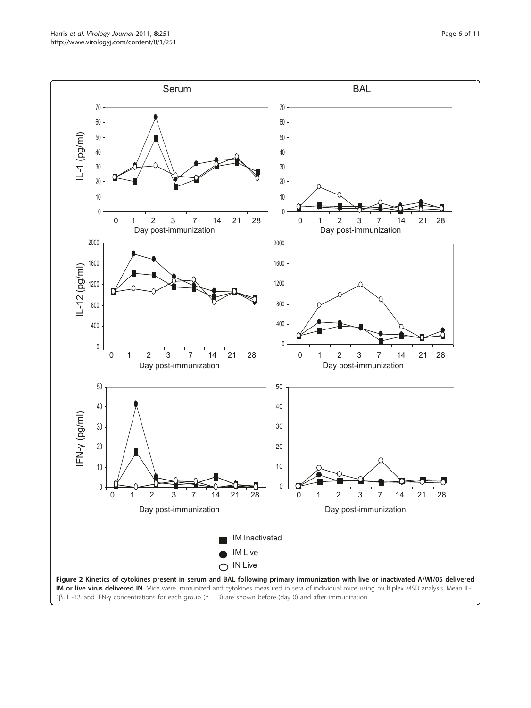<span id="page-5-0"></span>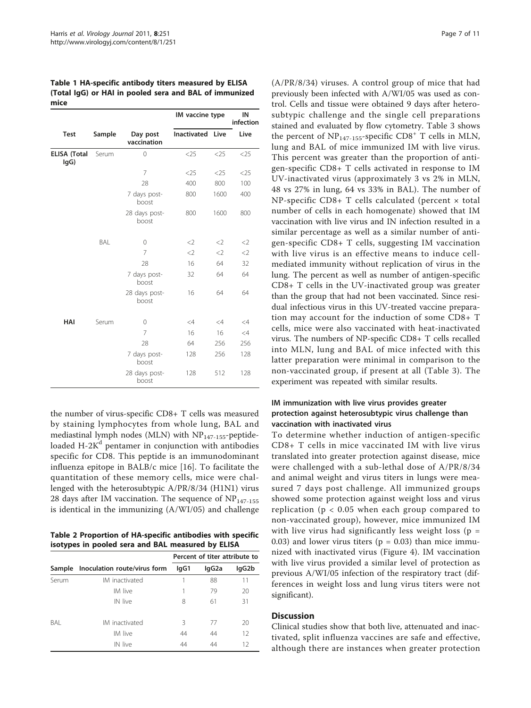<span id="page-6-0"></span>Table 1 HA-specific antibody titers measured by ELISA (Total IgG) or HAI in pooled sera and BAL of immunized mice

|                             |        |                         | IM vaccine type         |          | IN<br>infection |  |
|-----------------------------|--------|-------------------------|-------------------------|----------|-----------------|--|
| <b>Test</b>                 | Sample | Day post<br>vaccination | <b>Inactivated Live</b> |          | Live            |  |
| <b>ELISA (Total</b><br>lgG) | Serum  | $\mathbf{0}$            | $<$ 25                  | $<$ 25   | $<$ 25          |  |
|                             |        | 7                       | $<$ 25                  | $<$ 25   | $<$ 25          |  |
|                             |        | 28                      | 400                     | 800      | 100             |  |
|                             |        | 7 days post-<br>boost   | 800                     | 1600     | 400             |  |
|                             |        | 28 days post-<br>boost  | 800                     | 1600     | 800             |  |
|                             | BAL    | 0                       | $<$ 2                   | $<$ 2    | $<$ 2           |  |
|                             |        | 7                       | $\langle$               | $<$ 2    | $<$ 2           |  |
|                             |        | 28                      | 16                      | 64       | 32              |  |
|                             |        | 7 days post-<br>boost   | 32                      | 64       | 64              |  |
|                             |        | 28 days post-<br>boost  | 16                      | 64       | 64              |  |
| HAI                         | Serum  | $\mathbf{0}$            | $\leq 4$                | $\leq 4$ | $\leq 4$        |  |
|                             |        | 7                       | 16                      | 16       | $\leq 4$        |  |
|                             |        | 28                      | 64                      | 256      | 256             |  |
|                             |        | 7 days post-<br>boost   | 128                     | 256      | 128             |  |
|                             |        | 28 days post-<br>boost  | 128                     | 512      | 128             |  |

the number of virus-specific CD8+ T cells was measured by staining lymphocytes from whole lung, BAL and mediastinal lymph nodes (MLN) with  $NP<sub>147-155</sub>$ -peptideloaded  $H-2K^d$  pentamer in conjunction with antibodies specific for CD8. This peptide is an immunodominant influenza epitope in BALB/c mice [\[16](#page-10-0)]. To facilitate the quantitation of these memory cells, mice were challenged with the heterosubtypic A/PR/8/34 (H1N1) virus 28 days after IM vaccination. The sequence of  $NP<sub>147-155</sub>$ is identical in the immunizing (A/WI/05) and challenge

Table 2 Proportion of HA-specific antibodies with specific isotypes in pooled sera and BAL measured by ELISA

|        |                              | Percent of titer attribute to |                    |       |
|--------|------------------------------|-------------------------------|--------------------|-------|
| Sample | Inoculation route/virus form | lgG1                          | lgG <sub>2</sub> a | lgG2b |
| Serum  | IM inactivated               |                               | 88                 | 11    |
|        | IM live                      |                               | 79                 | 20    |
|        | IN live                      | 8                             | 61                 | 31    |
| BAI    | IM inactivated               | 3                             | 77                 | 20    |
|        | IM live                      | 44                            | 44                 | 12    |
|        | IN live                      | 44                            | 44                 | 12    |

(A/PR/8/34) viruses. A control group of mice that had previously been infected with A/WI/05 was used as control. Cells and tissue were obtained 9 days after heterosubtypic challenge and the single cell preparations stained and evaluated by flow cytometry. Table [3](#page-7-0) shows the percent of  $NP<sub>147-155</sub>$ -specific CD8<sup>+</sup> T cells in MLN, lung and BAL of mice immunized IM with live virus. This percent was greater than the proportion of antigen-specific CD8+ T cells activated in response to IM UV-inactivated virus (approximately 3 vs 2% in MLN, 48 vs 27% in lung, 64 vs 33% in BAL). The number of NP-specific CD8+ T cells calculated (percent × total number of cells in each homogenate) showed that IM vaccination with live virus and IN infection resulted in a similar percentage as well as a similar number of antigen-specific CD8+ T cells, suggesting IM vaccination with live virus is an effective means to induce cellmediated immunity without replication of virus in the lung. The percent as well as number of antigen-specific CD8+ T cells in the UV-inactivated group was greater than the group that had not been vaccinated. Since residual infectious virus in this UV-treated vaccine preparation may account for the induction of some CD8+ T cells, mice were also vaccinated with heat-inactivated virus. The numbers of NP-specific CD8+ T cells recalled into MLN, lung and BAL of mice infected with this latter preparation were minimal in comparison to the non-vaccinated group, if present at all (Table [3](#page-7-0)). The experiment was repeated with similar results.

# IM immunization with live virus provides greater protection against heterosubtypic virus challenge than vaccination with inactivated virus

To determine whether induction of antigen-specific CD8+ T cells in mice vaccinated IM with live virus translated into greater protection against disease, mice were challenged with a sub-lethal dose of A/PR/8/34 and animal weight and virus titers in lungs were measured 7 days post challenge. All immunized groups showed some protection against weight loss and virus replication ( $p < 0.05$  when each group compared to non-vaccinated group), however, mice immunized IM with live virus had significantly less weight loss ( $p =$ 0.03) and lower virus titers ( $p = 0.03$ ) than mice immunized with inactivated virus (Figure [4](#page-8-0)). IM vaccination with live virus provided a similar level of protection as previous A/WI/05 infection of the respiratory tract (differences in weight loss and lung virus titers were not significant).

# **Discussion**

Clinical studies show that both live, attenuated and inactivated, split influenza vaccines are safe and effective, although there are instances when greater protection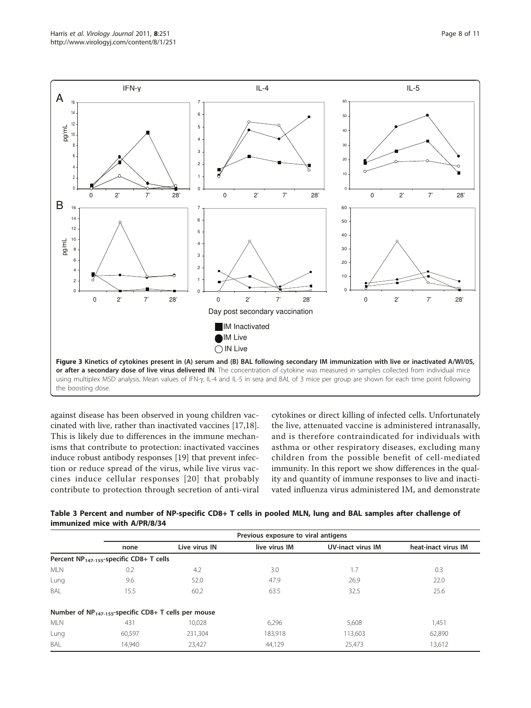<span id="page-7-0"></span>

against disease has been observed in young children vaccinated with live, rather than inactivated vaccines [[17,18](#page-10-0)]. This is likely due to differences in the immune mechanisms that contribute to protection: inactivated vaccines induce robust antibody responses [\[19](#page-10-0)] that prevent infection or reduce spread of the virus, while live virus vaccines induce cellular responses [[20\]](#page-10-0) that probably contribute to protection through secretion of anti-viral cytokines or direct killing of infected cells. Unfortunately the live, attenuated vaccine is administered intranasally, and is therefore contraindicated for individuals with asthma or other respiratory diseases, excluding many children from the possible benefit of cell-mediated immunity. In this report we show differences in the quality and quantity of immune responses to live and inactivated influenza virus administered IM, and demonstrate

| Table 3 Percent and number of NP-specific CD8+ T cells in pooled MLN, lung and BAL samples after challenge of |  |
|---------------------------------------------------------------------------------------------------------------|--|
| immunized mice with A/PR/8/34                                                                                 |  |

|                                                           |                                            | Previous exposure to viral antigens |               |                          |                     |  |  |
|-----------------------------------------------------------|--------------------------------------------|-------------------------------------|---------------|--------------------------|---------------------|--|--|
|                                                           | none                                       | Live virus IN                       | live virus IM | <b>UV-inact virus IM</b> | heat-inact virus IM |  |  |
|                                                           | Percent $NP147-155$ -specific CD8+ T cells |                                     |               |                          |                     |  |  |
| <b>MLN</b>                                                | 0.2                                        | 4.2                                 | 3.0           | 1.7                      | 0.3                 |  |  |
| Lung                                                      | 9.6                                        | 52.0                                | 47.9          | 26.9                     | 22.0                |  |  |
| BAL                                                       | 15.5                                       | 60.2                                | 63.5          | 32.5                     | 25.6                |  |  |
| Number of $NP_{147-155}$ -specific CD8+ T cells per mouse |                                            |                                     |               |                          |                     |  |  |
| <b>MLN</b>                                                | 431                                        | 10.028                              | 6,296         | 5,608                    | 1,451               |  |  |
| Lung                                                      | 60.597                                     | 231.304                             | 183,918       | 113,603                  | 62,890              |  |  |
| BAL                                                       | 14.940                                     | 23.427                              | 44.129        | 25.473                   | 13,612              |  |  |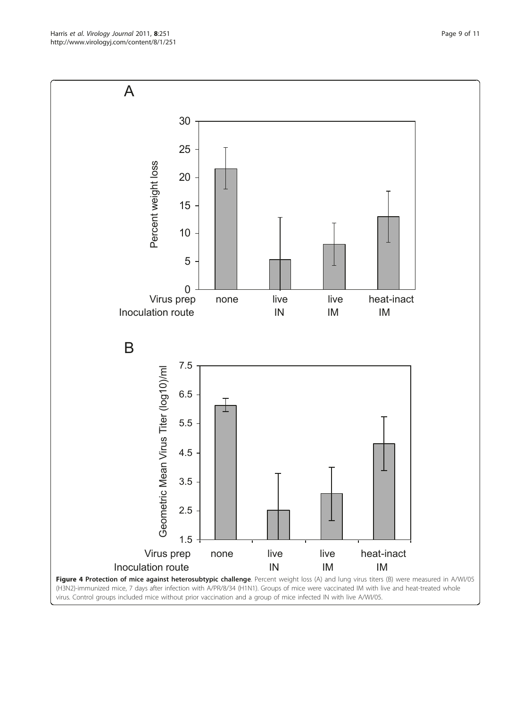<span id="page-8-0"></span>Harris et al. Virology Journal 2011, <sup>8</sup>:251 http://www.virologyj.com/content/8/1/251

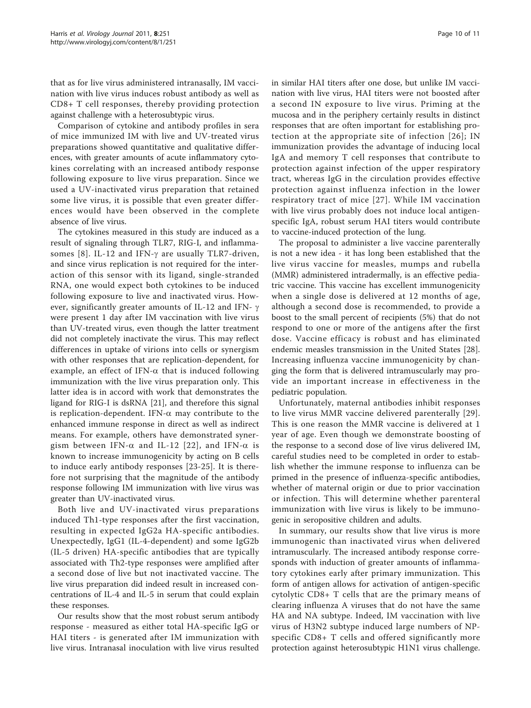that as for live virus administered intranasally, IM vaccination with live virus induces robust antibody as well as CD8+ T cell responses, thereby providing protection against challenge with a heterosubtypic virus.

Comparison of cytokine and antibody profiles in sera of mice immunized IM with live and UV-treated virus preparations showed quantitative and qualitative differences, with greater amounts of acute inflammatory cytokines correlating with an increased antibody response following exposure to live virus preparation. Since we used a UV-inactivated virus preparation that retained some live virus, it is possible that even greater differences would have been observed in the complete absence of live virus.

The cytokines measured in this study are induced as a result of signaling through TLR7, RIG-I, and inflamma-somes [[8\]](#page-10-0). IL-12 and IFN- $\gamma$  are usually TLR7-driven, and since virus replication is not required for the interaction of this sensor with its ligand, single-stranded RNA, one would expect both cytokines to be induced following exposure to live and inactivated virus. However, significantly greater amounts of IL-12 and IFN- $\gamma$ were present 1 day after IM vaccination with live virus than UV-treated virus, even though the latter treatment did not completely inactivate the virus. This may reflect differences in uptake of virions into cells or synergism with other responses that are replication-dependent, for example, an effect of IFN- $\alpha$  that is induced following immunization with the live virus preparation only. This latter idea is in accord with work that demonstrates the ligand for RIG-I is dsRNA [[21\]](#page-10-0), and therefore this signal is replication-dependent. IFN- $\alpha$  may contribute to the enhanced immune response in direct as well as indirect means. For example, others have demonstrated synergism between IFN- $\alpha$  and IL-12 [[22\]](#page-10-0), and IFN- $\alpha$  is known to increase immunogenicity by acting on B cells to induce early antibody responses [[23-25\]](#page-10-0). It is therefore not surprising that the magnitude of the antibody response following IM immunization with live virus was greater than UV-inactivated virus.

Both live and UV-inactivated virus preparations induced Th1-type responses after the first vaccination, resulting in expected IgG2a HA-specific antibodies. Unexpectedly, IgG1 (IL-4-dependent) and some IgG2b (IL-5 driven) HA-specific antibodies that are typically associated with Th2-type responses were amplified after a second dose of live but not inactivated vaccine. The live virus preparation did indeed result in increased concentrations of IL-4 and IL-5 in serum that could explain these responses.

Our results show that the most robust serum antibody response - measured as either total HA-specific IgG or HAI titers - is generated after IM immunization with live virus. Intranasal inoculation with live virus resulted

in similar HAI titers after one dose, but unlike IM vaccination with live virus, HAI titers were not boosted after a second IN exposure to live virus. Priming at the mucosa and in the periphery certainly results in distinct responses that are often important for establishing protection at the appropriate site of infection [[26](#page-10-0)]; IN immunization provides the advantage of inducing local IgA and memory T cell responses that contribute to protection against infection of the upper respiratory tract, whereas IgG in the circulation provides effective protection against influenza infection in the lower respiratory tract of mice [[27\]](#page-10-0). While IM vaccination with live virus probably does not induce local antigenspecific IgA, robust serum HAI titers would contribute to vaccine-induced protection of the lung.

The proposal to administer a live vaccine parenterally is not a new idea - it has long been established that the live virus vaccine for measles, mumps and rubella (MMR) administered intradermally, is an effective pediatric vaccine. This vaccine has excellent immunogenicity when a single dose is delivered at 12 months of age, although a second dose is recommended, to provide a boost to the small percent of recipients (5%) that do not respond to one or more of the antigens after the first dose. Vaccine efficacy is robust and has eliminated endemic measles transmission in the United States [\[28](#page-10-0)]. Increasing influenza vaccine immunogenicity by changing the form that is delivered intramuscularly may provide an important increase in effectiveness in the pediatric population.

Unfortunately, maternal antibodies inhibit responses to live virus MMR vaccine delivered parenterally [[29](#page-10-0)]. This is one reason the MMR vaccine is delivered at 1 year of age. Even though we demonstrate boosting of the response to a second dose of live virus delivered IM, careful studies need to be completed in order to establish whether the immune response to influenza can be primed in the presence of influenza-specific antibodies, whether of maternal origin or due to prior vaccination or infection. This will determine whether parenteral immunization with live virus is likely to be immunogenic in seropositive children and adults.

In summary, our results show that live virus is more immunogenic than inactivated virus when delivered intramuscularly. The increased antibody response corresponds with induction of greater amounts of inflammatory cytokines early after primary immunization. This form of antigen allows for activation of antigen-specific cytolytic CD8+ T cells that are the primary means of clearing influenza A viruses that do not have the same HA and NA subtype. Indeed, IM vaccination with live virus of H3N2 subtype induced large numbers of NPspecific CD8+ T cells and offered significantly more protection against heterosubtypic H1N1 virus challenge.